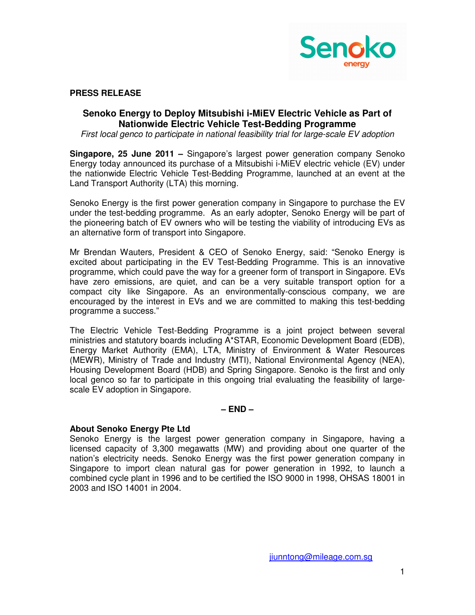

## **PRESS RELEASE**

## **Senoko Energy to Deploy Mitsubishi i-MiEV Electric Vehicle as Part of Nationwide Electric Vehicle Test-Bedding Programme**

First local genco to participate in national feasibility trial for large-scale EV adoption

**Singapore, 25 June 2011 –** Singapore's largest power generation company Senoko Energy today announced its purchase of a Mitsubishi i-MiEV electric vehicle (EV) under the nationwide Electric Vehicle Test-Bedding Programme, launched at an event at the Land Transport Authority (LTA) this morning.

Senoko Energy is the first power generation company in Singapore to purchase the EV under the test-bedding programme. As an early adopter, Senoko Energy will be part of the pioneering batch of EV owners who will be testing the viability of introducing EVs as an alternative form of transport into Singapore.

Mr Brendan Wauters, President & CEO of Senoko Energy, said: "Senoko Energy is excited about participating in the EV Test-Bedding Programme. This is an innovative programme, which could pave the way for a greener form of transport in Singapore. EVs have zero emissions, are quiet, and can be a very suitable transport option for a compact city like Singapore. As an environmentally-conscious company, we are encouraged by the interest in EVs and we are committed to making this test-bedding programme a success."

The Electric Vehicle Test-Bedding Programme is a joint project between several ministries and statutory boards including A\*STAR, Economic Development Board (EDB), Energy Market Authority (EMA), LTA, Ministry of Environment & Water Resources (MEWR), Ministry of Trade and Industry (MTI), National Environmental Agency (NEA), Housing Development Board (HDB) and Spring Singapore. Senoko is the first and only local genco so far to participate in this ongoing trial evaluating the feasibility of largescale EV adoption in Singapore.

## **– END –**

## **About Senoko Energy Pte Ltd**

Senoko Energy is the largest power generation company in Singapore, having a licensed capacity of 3,300 megawatts (MW) and providing about one quarter of the nation's electricity needs. Senoko Energy was the first power generation company in Singapore to import clean natural gas for power generation in 1992, to launch a combined cycle plant in 1996 and to be certified the ISO 9000 in 1998, OHSAS 18001 in 2003 and ISO 14001 in 2004.